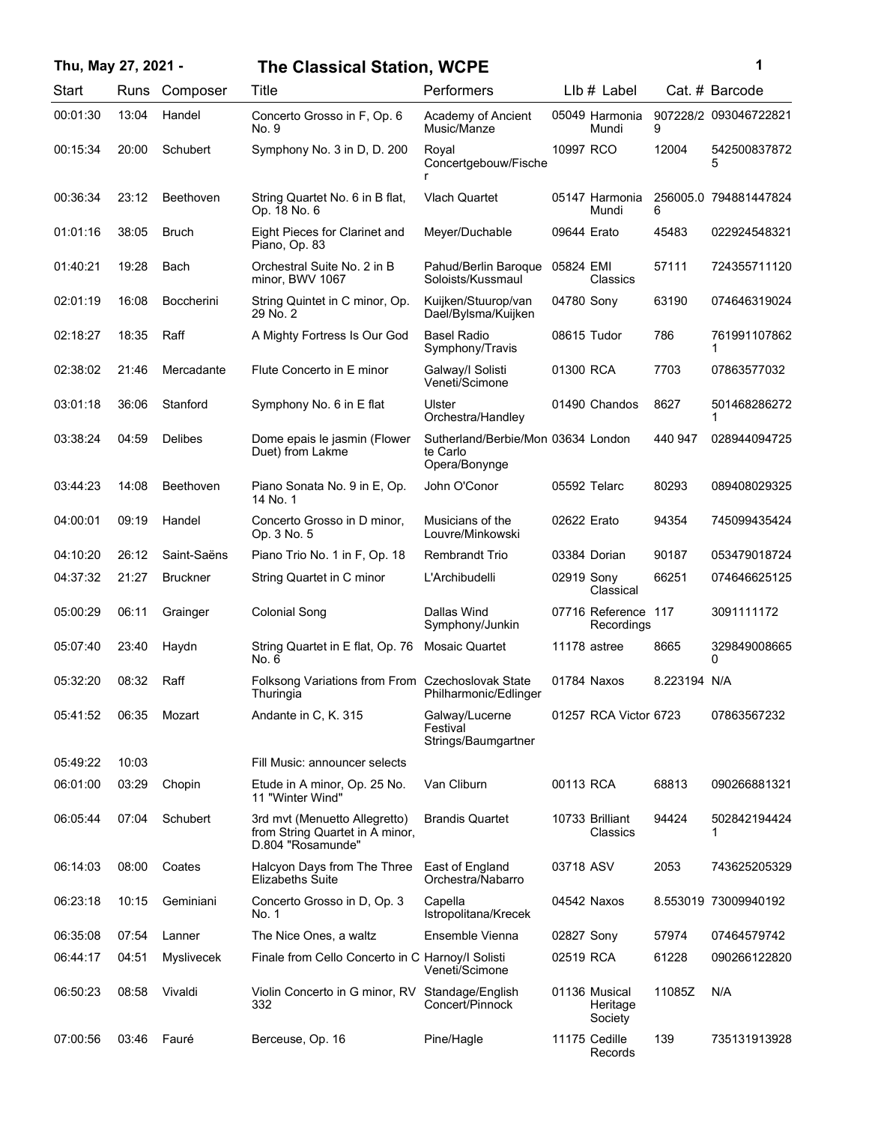## **Thu, May 27, 2021 - 1 The Classical Station, WCPE**

| ï<br>۰. |  |
|---------|--|
|         |  |

| Start    | Runs  | Composer          | Title                                                                                 | Performers                                                      |             | LIb # Label                          |              | Cat. # Barcode        |
|----------|-------|-------------------|---------------------------------------------------------------------------------------|-----------------------------------------------------------------|-------------|--------------------------------------|--------------|-----------------------|
| 00:01:30 | 13:04 | Handel            | Concerto Grosso in F, Op. 6<br>No. 9                                                  | Academy of Ancient<br>Music/Manze                               |             | 05049 Harmonia<br>Mundi              | 9            | 907228/2 093046722821 |
| 00:15:34 | 20:00 | Schubert          | Symphony No. 3 in D, D. 200                                                           | Roval<br>Concertgebouw/Fische                                   | 10997 RCO   |                                      | 12004        | 542500837872<br>5     |
| 00:36:34 | 23:12 | Beethoven         | String Quartet No. 6 in B flat,<br>Op. 18 No. 6                                       | Vlach Quartet                                                   |             | 05147 Harmonia<br>Mundi              | 6            | 256005.0 794881447824 |
| 01:01:16 | 38:05 | Bruch             | Eight Pieces for Clarinet and<br>Piano, Op. 83                                        | Meyer/Duchable                                                  | 09644 Erato |                                      | 45483        | 022924548321          |
| 01:40:21 | 19:28 | Bach              | Orchestral Suite No. 2 in B<br>minor, BWV 1067                                        | Pahud/Berlin Baroque<br>Soloists/Kussmaul                       | 05824 EMI   | Classics                             | 57111        | 724355711120          |
| 02:01:19 | 16:08 | <b>Boccherini</b> | String Quintet in C minor, Op.<br>29 No. 2                                            | Kuijken/Stuurop/van<br>Dael/Bylsma/Kuijken                      | 04780 Sony  |                                      | 63190        | 074646319024          |
| 02:18:27 | 18:35 | Raff              | A Mighty Fortress Is Our God                                                          | <b>Basel Radio</b><br>Symphony/Travis                           |             | 08615 Tudor                          | 786          | 761991107862<br>1     |
| 02:38:02 | 21:46 | Mercadante        | Flute Concerto in E minor                                                             | Galway/I Solisti<br>Veneti/Scimone                              | 01300 RCA   |                                      | 7703         | 07863577032           |
| 03:01:18 | 36:06 | Stanford          | Symphony No. 6 in E flat                                                              | Ulster<br>Orchestra/Handley                                     |             | 01490 Chandos                        | 8627         | 501468286272<br>1     |
| 03:38:24 | 04:59 | <b>Delibes</b>    | Dome epais le jasmin (Flower<br>Duet) from Lakme                                      | Sutherland/Berbie/Mon 03634 London<br>te Carlo<br>Opera/Bonynge |             |                                      | 440 947      | 028944094725          |
| 03:44:23 | 14:08 | Beethoven         | Piano Sonata No. 9 in E, Op.<br>14 No. 1                                              | John O'Conor                                                    |             | 05592 Telarc                         | 80293        | 089408029325          |
| 04:00:01 | 09:19 | Handel            | Concerto Grosso in D minor,<br>Op. 3 No. 5                                            | Musicians of the<br>Louvre/Minkowski                            | 02622 Erato |                                      | 94354        | 745099435424          |
| 04:10:20 | 26:12 | Saint-Saëns       | Piano Trio No. 1 in F, Op. 18                                                         | <b>Rembrandt Trio</b>                                           |             | 03384 Dorian                         | 90187        | 053479018724          |
| 04:37:32 | 21:27 | <b>Bruckner</b>   | String Quartet in C minor                                                             | L'Archibudelli                                                  | 02919 Sony  | Classical                            | 66251        | 074646625125          |
| 05:00:29 | 06:11 | Grainger          | <b>Colonial Song</b>                                                                  | Dallas Wind<br>Symphony/Junkin                                  |             | 07716 Reference 117<br>Recordings    |              | 3091111172            |
| 05:07:40 | 23:40 | Haydn             | String Quartet in E flat, Op. 76<br>No. 6                                             | <b>Mosaic Quartet</b>                                           |             | 11178 astree                         | 8665         | 329849008665<br>0     |
| 05:32:20 | 08:32 | Raff              | Folksong Variations from From Czechoslovak State<br>Thuringia                         | Philharmonic/Edlinger                                           |             | 01784 Naxos                          | 8.223194 N/A |                       |
| 05:41:52 |       | 06:35 Mozart      | Andante in C, K. 315                                                                  | Galway/Lucerne<br>Festival<br>Strings/Baumgartner               |             | 01257 RCA Victor 6723                |              | 07863567232           |
| 05:49:22 | 10:03 |                   | Fill Music: announcer selects                                                         |                                                                 |             |                                      |              |                       |
| 06:01:00 | 03:29 | Chopin            | Etude in A minor, Op. 25 No.<br>11 "Winter Wind"                                      | Van Cliburn                                                     | 00113 RCA   |                                      | 68813        | 090266881321          |
| 06:05:44 | 07:04 | Schubert          | 3rd mvt (Menuetto Allegretto)<br>from String Quartet in A minor,<br>D.804 "Rosamunde" | <b>Brandis Quartet</b>                                          |             | 10733 Brilliant<br>Classics          | 94424        | 502842194424<br>1     |
| 06:14:03 | 08:00 | Coates            | Halcyon Days from The Three<br><b>Elizabeths Suite</b>                                | East of England<br>Orchestra/Nabarro                            | 03718 ASV   |                                      | 2053         | 743625205329          |
| 06:23:18 | 10:15 | Geminiani         | Concerto Grosso in D, Op. 3<br>No. 1                                                  | Capella<br>Istropolitana/Krecek                                 |             | 04542 Naxos                          |              | 8.553019 73009940192  |
| 06:35:08 | 07:54 | Lanner            | The Nice Ones, a waltz                                                                | Ensemble Vienna                                                 | 02827 Sony  |                                      | 57974        | 07464579742           |
| 06:44:17 | 04:51 | <b>Myslivecek</b> | Finale from Cello Concerto in C Harnoy/I Solisti                                      | Veneti/Scimone                                                  | 02519 RCA   |                                      | 61228        | 090266122820          |
| 06:50:23 | 08:58 | Vivaldi           | Violin Concerto in G minor, RV Standage/English<br>332                                | Concert/Pinnock                                                 |             | 01136 Musical<br>Heritage<br>Society | 11085Z       | N/A                   |
| 07:00:56 | 03:46 | Fauré             | Berceuse, Op. 16                                                                      | Pine/Hagle                                                      |             | 11175 Cedille<br>Records             | 139          | 735131913928          |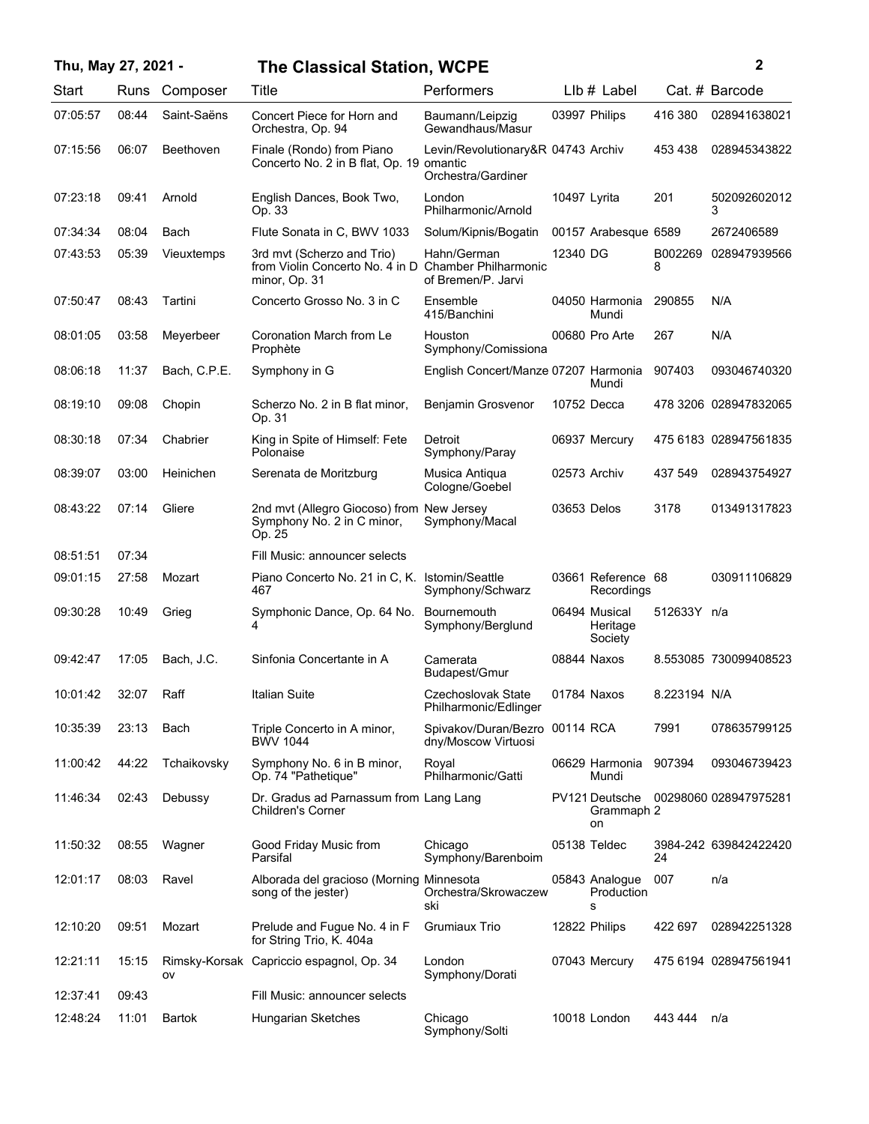|          | Thu, May 27, 2021 -<br><b>The Classical Station, WCPE</b> |              |                                                                                                     |                                                          | $\mathbf{2}$ |                                      |              |                       |
|----------|-----------------------------------------------------------|--------------|-----------------------------------------------------------------------------------------------------|----------------------------------------------------------|--------------|--------------------------------------|--------------|-----------------------|
| Start    | Runs                                                      | Composer     | Title                                                                                               | Performers                                               |              | LIb # Label                          |              | Cat. # Barcode        |
| 07:05:57 | 08:44                                                     | Saint-Saëns  | Concert Piece for Horn and<br>Orchestra, Op. 94                                                     | Baumann/Leipzig<br>Gewandhaus/Masur                      |              | 03997 Philips                        | 416 380      | 028941638021          |
| 07:15:56 | 06:07                                                     | Beethoven    | Finale (Rondo) from Piano<br>Concerto No. 2 in B flat, Op. 19 omantic                               | Levin/Revolutionary&R 04743 Archiv<br>Orchestra/Gardiner |              |                                      | 453 438      | 028945343822          |
| 07:23:18 | 09:41                                                     | Arnold       | English Dances, Book Two,<br>Op. 33                                                                 | London<br>Philharmonic/Arnold                            | 10497 Lyrita |                                      | 201          | 502092602012<br>3     |
| 07:34:34 | 08:04                                                     | Bach         | Flute Sonata in C, BWV 1033                                                                         | Solum/Kipnis/Bogatin                                     |              | 00157 Arabesque 6589                 |              | 2672406589            |
| 07:43:53 | 05:39                                                     | Vieuxtemps   | 3rd mvt (Scherzo and Trio)<br>from Violin Concerto No. 4 in D Chamber Philharmonic<br>minor, Op. 31 | Hahn/German<br>of Bremen/P. Jarvi                        | 12340 DG     |                                      | B002269<br>8 | 028947939566          |
| 07:50:47 | 08:43                                                     | Tartini      | Concerto Grosso No. 3 in C                                                                          | Ensemble<br>415/Banchini                                 |              | 04050 Harmonia<br>Mundi              | 290855       | N/A                   |
| 08:01:05 | 03:58                                                     | Meyerbeer    | Coronation March from Le<br>Prophète                                                                | Houston<br>Symphony/Comissiona                           |              | 00680 Pro Arte                       | 267          | N/A                   |
| 08:06:18 | 11:37                                                     | Bach, C.P.E. | Symphony in G                                                                                       | English Concert/Manze 07207 Harmonia                     |              | Mundi                                | 907403       | 093046740320          |
| 08:19:10 | 09:08                                                     | Chopin       | Scherzo No. 2 in B flat minor,<br>Op. 31                                                            | Benjamin Grosvenor                                       |              | 10752 Decca                          |              | 478 3206 028947832065 |
| 08:30:18 | 07:34                                                     | Chabrier     | King in Spite of Himself: Fete<br>Polonaise                                                         | Detroit<br>Symphony/Paray                                |              | 06937 Mercury                        |              | 475 6183 028947561835 |
| 08:39:07 | 03:00                                                     | Heinichen    | Serenata de Moritzburg                                                                              | Musica Antiqua<br>Cologne/Goebel                         |              | 02573 Archiv                         | 437 549      | 028943754927          |
| 08:43:22 | 07:14                                                     | Gliere       | 2nd mvt (Allegro Giocoso) from New Jersey<br>Symphony No. 2 in C minor,<br>Op. 25                   | Symphony/Macal                                           | 03653 Delos  |                                      | 3178         | 013491317823          |
| 08:51:51 | 07:34                                                     |              | Fill Music: announcer selects                                                                       |                                                          |              |                                      |              |                       |
| 09:01:15 | 27:58                                                     | Mozart       | Piano Concerto No. 21 in C, K. Istomin/Seattle<br>467                                               | Symphony/Schwarz                                         |              | 03661 Reference 68<br>Recordings     |              | 030911106829          |
| 09:30:28 | 10:49                                                     | Grieg        | Symphonic Dance, Op. 64 No.<br>4                                                                    | Bournemouth<br>Symphony/Berglund                         |              | 06494 Musical<br>Heritage<br>Society | 512633Y n/a  |                       |
| 09:42:47 | 17:05                                                     | Bach, J.C.   | Sinfonia Concertante in A                                                                           | Camerata<br>Budapest/Gmur                                |              | 08844 Naxos                          |              | 8.553085 730099408523 |
| 10:01:42 | 32:07                                                     | Raff         | <b>Italian Suite</b>                                                                                | Czechoslovak State<br>Philharmonic/Edlinger              |              | 01784 Naxos                          | 8.223194 N/A |                       |
| 10:35:39 | 23:13                                                     | Bach         | Triple Concerto in A minor,<br><b>BWV 1044</b>                                                      | Spivakov/Duran/Bezro 00114 RCA<br>dny/Moscow Virtuosi    |              |                                      | 7991         | 078635799125          |
| 11:00:42 | 44:22                                                     | Tchaikovsky  | Symphony No. 6 in B minor,<br>Op. 74 "Pathetique"                                                   | Royal<br>Philharmonic/Gatti                              |              | 06629 Harmonia<br>Mundi              | 907394       | 093046739423          |
| 11:46:34 | 02:43                                                     | Debussy      | Dr. Gradus ad Parnassum from Lang Lang<br>Children's Corner                                         |                                                          |              | PV121 Deutsche<br>Grammaph 2<br>on   |              | 00298060 028947975281 |
| 11:50:32 | 08:55                                                     | Wagner       | Good Friday Music from<br>Parsifal                                                                  | Chicago<br>Symphony/Barenboim                            |              | 05138 Teldec                         | 24           | 3984-242 639842422420 |
| 12:01:17 | 08:03                                                     | Ravel        | Alborada del gracioso (Morning Minnesota<br>song of the jester)                                     | Orchestra/Skrowaczew<br>ski                              |              | 05843 Analogue<br>Production<br>s    | 007          | n/a                   |
| 12:10:20 | 09:51                                                     | Mozart       | Prelude and Fugue No. 4 in F<br>for String Trio, K. 404a                                            | Grumiaux Trio                                            |              | 12822 Philips                        | 422 697      | 028942251328          |
| 12:21:11 | 15:15                                                     | ov           | Rimsky-Korsak Capriccio espagnol, Op. 34                                                            | London<br>Symphony/Dorati                                |              | 07043 Mercury                        |              | 475 6194 028947561941 |
| 12:37:41 | 09:43                                                     |              | Fill Music: announcer selects                                                                       |                                                          |              |                                      |              |                       |
| 12:48:24 | 11:01                                                     | Bartok       | Hungarian Sketches                                                                                  | Chicago<br>Symphony/Solti                                |              | 10018 London                         | 443 444      | n/a                   |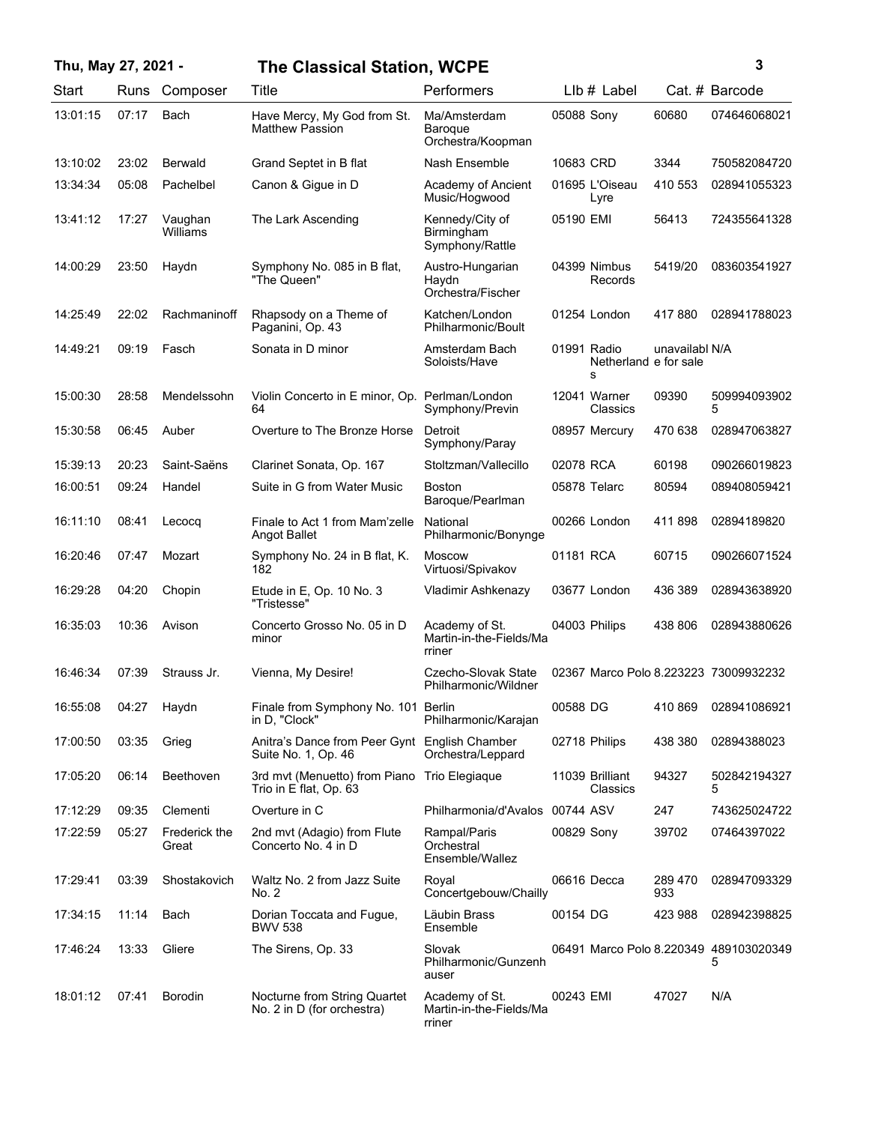## **Thu, May 27, 2021 - 3 The Classical Station, WCPE**

| ٦ | ٦ |  |
|---|---|--|
|   |   |  |
|   |   |  |
|   | I |  |

| Start    | Runs  | Composer               | Title                                                                  | Performers                                          |                  | LIb # Label           |                | Cat. # Barcode                              |
|----------|-------|------------------------|------------------------------------------------------------------------|-----------------------------------------------------|------------------|-----------------------|----------------|---------------------------------------------|
| 13:01:15 | 07:17 | Bach                   | Have Mercy, My God from St.<br><b>Matthew Passion</b>                  | Ma/Amsterdam<br>Baroque<br>Orchestra/Koopman        | 05088 Sony       |                       | 60680          | 074646068021                                |
| 13:10:02 | 23:02 | <b>Berwald</b>         | Grand Septet in B flat                                                 | Nash Ensemble                                       | 10683 CRD        |                       | 3344           | 750582084720                                |
| 13:34:34 | 05:08 | Pachelbel              | Canon & Gigue in D                                                     | Academy of Ancient<br>Music/Hogwood                 | 01695 L'Oiseau   | Lyre                  | 410 553        | 028941055323                                |
| 13:41:12 | 17:27 | Vaughan<br>Williams    | The Lark Ascending                                                     | Kennedy/City of<br>Birmingham<br>Symphony/Rattle    | 05190 EMI        |                       | 56413          | 724355641328                                |
| 14:00:29 | 23:50 | Haydn                  | Symphony No. 085 in B flat,<br>"The Queen"                             | Austro-Hungarian<br>Haydn<br>Orchestra/Fischer      | 04399 Nimbus     | Records               | 5419/20        | 083603541927                                |
| 14:25:49 | 22:02 | Rachmaninoff           | Rhapsody on a Theme of<br>Paganini, Op. 43                             | Katchen/London<br>Philharmonic/Boult                | 01254 London     |                       | 417880         | 028941788023                                |
| 14:49:21 | 09:19 | Fasch                  | Sonata in D minor                                                      | Amsterdam Bach<br>Soloists/Have                     | 01991 Radio<br>s | Netherland e for sale | unavailabl N/A |                                             |
| 15:00:30 | 28:58 | Mendelssohn            | Violin Concerto in E minor, Op. Perlman/London<br>64                   | Symphony/Previn                                     | 12041 Warner     | Classics              | 09390          | 509994093902<br>5                           |
| 15:30:58 | 06:45 | Auber                  | Overture to The Bronze Horse                                           | Detroit<br>Symphony/Paray                           | 08957 Mercury    |                       | 470 638        | 028947063827                                |
| 15:39:13 | 20:23 | Saint-Saëns            | Clarinet Sonata, Op. 167                                               | Stoltzman/Vallecillo                                | 02078 RCA        |                       | 60198          | 090266019823                                |
| 16:00:51 | 09:24 | Handel                 | Suite in G from Water Music                                            | <b>Boston</b><br>Baroque/Pearlman                   | 05878 Telarc     |                       | 80594          | 089408059421                                |
| 16:11:10 | 08:41 | Lecocq                 | Finale to Act 1 from Mam'zelle<br><b>Angot Ballet</b>                  | National<br>Philharmonic/Bonynge                    | 00266 London     |                       | 411898         | 02894189820                                 |
| 16:20:46 | 07:47 | Mozart                 | Symphony No. 24 in B flat, K.<br>182                                   | <b>Moscow</b><br>Virtuosi/Spivakov                  | 01181 RCA        |                       | 60715          | 090266071524                                |
| 16:29:28 | 04:20 | Chopin                 | Etude in E, Op. 10 No. 3<br>"Tristesse"                                | Vladimir Ashkenazy                                  | 03677 London     |                       | 436 389        | 028943638920                                |
| 16:35:03 | 10:36 | Avison                 | Concerto Grosso No. 05 in D<br>minor                                   | Academy of St.<br>Martin-in-the-Fields/Ma<br>rriner | 04003 Philips    |                       | 438 806        | 028943880626                                |
| 16:46:34 | 07:39 | Strauss Jr.            | Vienna, My Desire!                                                     | Czecho-Slovak State<br>Philharmonic/Wildner         |                  |                       |                | 02367 Marco Polo 8.223223 73009932232       |
| 16:55:08 | 04:27 | Haydn                  | Finale from Symphony No. 101 Berlin<br>in D, "Clock"                   | Philharmonic/Karajan                                | 00588 DG         |                       | 410 869        | 028941086921                                |
| 17:00:50 | 03:35 | Grieg                  | Anitra's Dance from Peer Gynt English Chamber<br>Suite No. 1, Op. 46   | Orchestra/Leppard                                   | 02718 Philips    |                       | 438 380        | 02894388023                                 |
| 17:05:20 | 06:14 | Beethoven              | 3rd mvt (Menuetto) from Piano Trio Elegiaque<br>Trio in E flat, Op. 63 |                                                     | 11039 Brilliant  | Classics              | 94327          | 502842194327<br>5                           |
| 17:12:29 | 09:35 | Clementi               | Overture in C                                                          | Philharmonia/d'Avalos                               | 00744 ASV        |                       | 247            | 743625024722                                |
| 17:22:59 | 05:27 | Frederick the<br>Great | 2nd mvt (Adagio) from Flute<br>Concerto No. 4 in D                     | Rampal/Paris<br>Orchestral<br>Ensemble/Wallez       | 00829 Sony       |                       | 39702          | 07464397022                                 |
| 17:29:41 | 03:39 | Shostakovich           | Waltz No. 2 from Jazz Suite<br>No. 2                                   | Royal<br>Concertgebouw/Chailly                      | 06616 Decca      |                       | 289 470<br>933 | 028947093329                                |
| 17:34:15 | 11:14 | Bach                   | Dorian Toccata and Fugue,<br><b>BWV 538</b>                            | Läubin Brass<br>Ensemble                            | 00154 DG         |                       | 423 988        | 028942398825                                |
| 17:46:24 | 13:33 | Gliere                 | The Sirens, Op. 33                                                     | Slovak<br>Philharmonic/Gunzenh<br>auser             |                  |                       |                | 06491 Marco Polo 8.220349 489103020349<br>5 |
| 18:01:12 | 07:41 | <b>Borodin</b>         | Nocturne from String Quartet<br>No. 2 in D (for orchestra)             | Academy of St.<br>Martin-in-the-Fields/Ma<br>rriner | 00243 EMI        |                       | 47027          | N/A                                         |